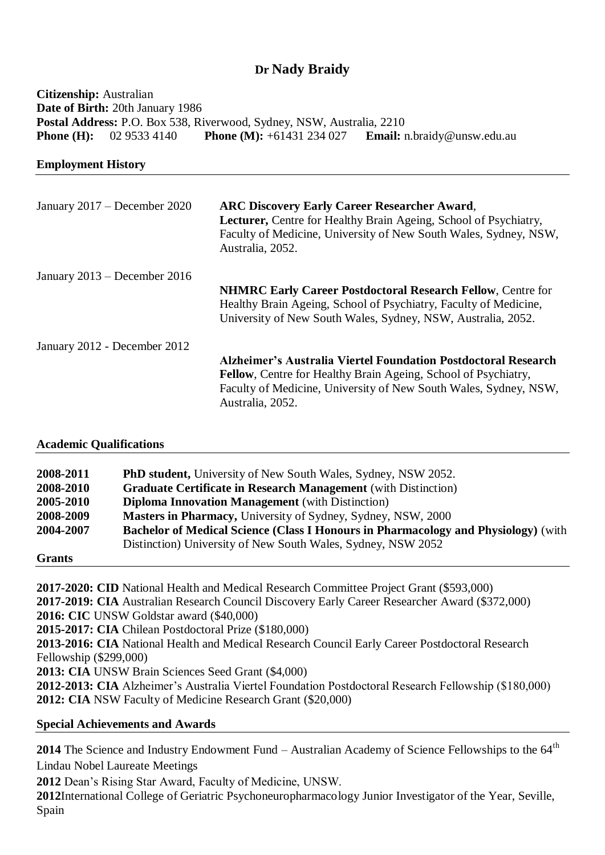# **Dr Nady Braidy**

**Citizenship:** Australian **Date of Birth:** 20th January 1986 **Postal Address:** P.O. Box 538, Riverwood, Sydney, NSW, Australia, 2210 **Phone (H):** 02 9533 4140 **Phone (M):** +61431 234 027 **Email:** n.braidy@unsw.edu.au

**Employment History**

| January 2017 – December 2020 | <b>ARC Discovery Early Career Researcher Award,</b><br>Lecturer, Centre for Healthy Brain Ageing, School of Psychiatry,<br>Faculty of Medicine, University of New South Wales, Sydney, NSW,<br>Australia, 2052. |  |
|------------------------------|-----------------------------------------------------------------------------------------------------------------------------------------------------------------------------------------------------------------|--|
| January 2013 – December 2016 |                                                                                                                                                                                                                 |  |
|                              | <b>NHMRC Early Career Postdoctoral Research Fellow, Centre for</b>                                                                                                                                              |  |
|                              | Healthy Brain Ageing, School of Psychiatry, Faculty of Medicine,                                                                                                                                                |  |
|                              | University of New South Wales, Sydney, NSW, Australia, 2052.                                                                                                                                                    |  |
| January 2012 - December 2012 |                                                                                                                                                                                                                 |  |
|                              | Alzheimer's Australia Viertel Foundation Postdoctoral Research                                                                                                                                                  |  |
|                              | <b>Fellow, Centre for Healthy Brain Ageing, School of Psychiatry,</b>                                                                                                                                           |  |
|                              | Faculty of Medicine, University of New South Wales, Sydney, NSW,                                                                                                                                                |  |
|                              | Australia, 2052.                                                                                                                                                                                                |  |

### **Academic Qualifications**

| 2008-2011     | <b>PhD student,</b> University of New South Wales, Sydney, NSW 2052.                      |  |
|---------------|-------------------------------------------------------------------------------------------|--|
| 2008-2010     | <b>Graduate Certificate in Research Management</b> (with Distinction)                     |  |
| 2005-2010     | <b>Diploma Innovation Management</b> (with Distinction)                                   |  |
| 2008-2009     | Masters in Pharmacy, University of Sydney, Sydney, NSW, 2000                              |  |
| 2004-2007     | <b>Bachelor of Medical Science (Class I Honours in Pharmacology and Physiology)</b> (with |  |
|               | Distinction) University of New South Wales, Sydney, NSW 2052                              |  |
| <b>Grants</b> |                                                                                           |  |

**2017-2020: CID** National Health and Medical Research Committee Project Grant (\$593,000) **2017-2019: CIA** Australian Research Council Discovery Early Career Researcher Award (\$372,000) **2016: CIC** UNSW Goldstar award (\$40,000) **2015-2017: CIA** Chilean Postdoctoral Prize (\$180,000) **2013-2016: CIA** National Health and Medical Research Council Early Career Postdoctoral Research Fellowship (\$299,000) **2013: CIA** UNSW Brain Sciences Seed Grant (\$4,000) **2012-2013: CIA** Alzheimer's Australia Viertel Foundation Postdoctoral Research Fellowship (\$180,000) **2012: CIA** NSW Faculty of Medicine Research Grant (\$20,000)

### **Special Achievements and Awards**

2014 The Science and Industry Endowment Fund – Australian Academy of Science Fellowships to the 64<sup>th</sup> Lindau Nobel Laureate Meetings

**2012** Dean's Rising Star Award, Faculty of Medicine, UNSW.

**2012**International College of Geriatric Psychoneuropharmacology Junior Investigator of the Year, Seville, Spain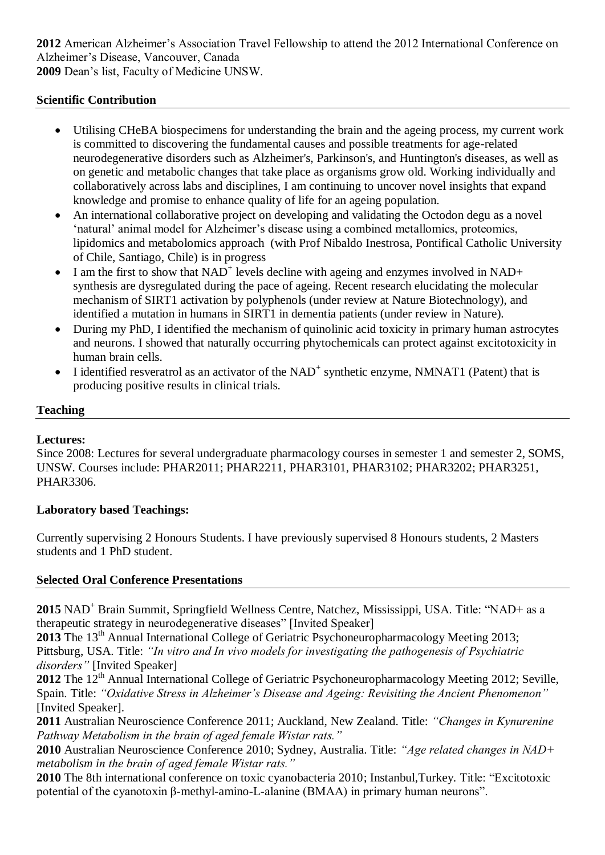**2012** American Alzheimer's Association Travel Fellowship to attend the 2012 International Conference on Alzheimer's Disease, Vancouver, Canada **2009** Dean's list, Faculty of Medicine UNSW.

### **Scientific Contribution**

- Utilising CHeBA biospecimens for understanding the brain and the ageing process, my current work is committed to discovering the fundamental causes and possible treatments for age-related neurodegenerative disorders such as Alzheimer's, Parkinson's, and Huntington's diseases, as well as on genetic and metabolic changes that take place as organisms grow old. Working individually and collaboratively across labs and disciplines, I am continuing to uncover novel insights that expand knowledge and promise to enhance quality of life for an ageing population.
- An international collaborative project on developing and validating the Octodon degu as a novel 'natural' animal model for Alzheimer's disease using a combined metallomics, proteomics, lipidomics and metabolomics approach (with Prof Nibaldo Inestrosa, Pontifical Catholic University of Chile, Santiago, Chile) is in progress
- $\bullet$  I am the first to show that NAD<sup>+</sup> levels decline with ageing and enzymes involved in NAD+ synthesis are dysregulated during the pace of ageing. Recent research elucidating the molecular mechanism of SIRT1 activation by polyphenols (under review at Nature Biotechnology), and identified a mutation in humans in SIRT1 in dementia patients (under review in Nature).
- During my PhD, I identified the mechanism of quinolinic acid toxicity in primary human astrocytes and neurons. I showed that naturally occurring phytochemicals can protect against excitotoxicity in human brain cells.
- $\bullet$  I identified resveratrol as an activator of the NAD<sup>+</sup> synthetic enzyme, NMNAT1 (Patent) that is producing positive results in clinical trials.

#### **Teaching**

### **Lectures:**

Since 2008: Lectures for several undergraduate pharmacology courses in semester 1 and semester 2, SOMS, UNSW. Courses include: PHAR2011; PHAR2211, PHAR3101, PHAR3102; PHAR3202; PHAR3251, PHAR3306.

### **Laboratory based Teachings:**

Currently supervising 2 Honours Students. I have previously supervised 8 Honours students, 2 Masters students and 1 PhD student.

### **Selected Oral Conference Presentations**

**2015** NAD<sup>+</sup> Brain Summit, Springfield Wellness Centre, Natchez, Mississippi, USA. Title: "NAD+ as a therapeutic strategy in neurodegenerative diseases" [Invited Speaker]

**2013** The 13<sup>th</sup> Annual International College of Geriatric Psychoneuropharmacology Meeting 2013; Pittsburg, USA. Title: *"In vitro and In vivo models for investigating the pathogenesis of Psychiatric disorders"* [Invited Speaker]

2012 The 12<sup>th</sup> Annual International College of Geriatric Psychoneuropharmacology Meeting 2012; Seville, Spain. Title: *"Oxidative Stress in Alzheimer's Disease and Ageing: Revisiting the Ancient Phenomenon"*  [Invited Speaker].

**2011** Australian Neuroscience Conference 2011; Auckland, New Zealand. Title: *"Changes in Kynurenine Pathway Metabolism in the brain of aged female Wistar rats."*

**2010** Australian Neuroscience Conference 2010; Sydney, Australia. Title: *"Age related changes in NAD+ metabolism in the brain of aged female Wistar rats."*

**2010** The 8th international conference on toxic cyanobacteria 2010; Instanbul,Turkey. Title: "Excitotoxic potential of the cyanotoxin β-methyl-amino-L-alanine (BMAA) in primary human neurons".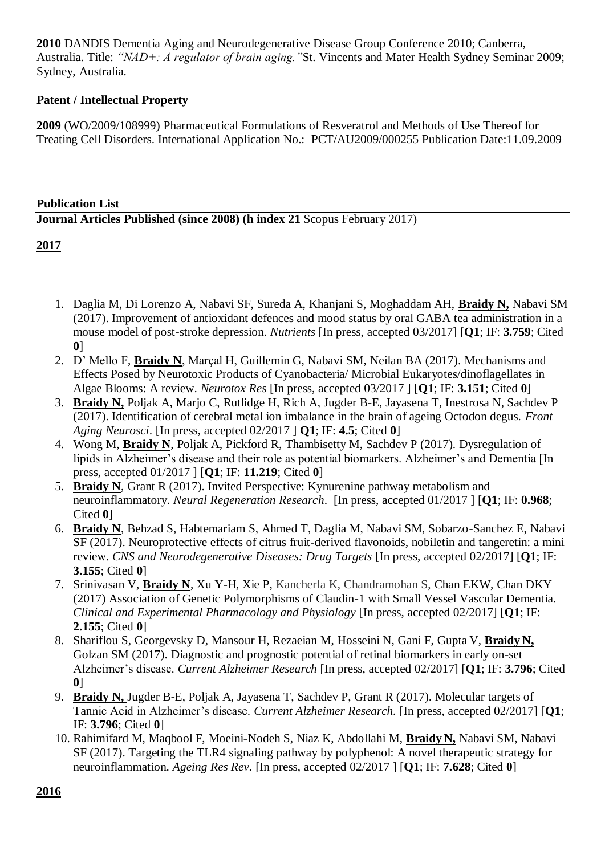**2010** DANDIS Dementia Aging and Neurodegenerative Disease Group Conference 2010; Canberra, Australia. Title: *"NAD+: A regulator of brain aging."*St. Vincents and Mater Health Sydney Seminar 2009; Sydney, Australia.

### **Patent / Intellectual Property**

**2009** (WO/2009/108999) Pharmaceutical Formulations of Resveratrol and Methods of Use Thereof for Treating Cell Disorders. International Application No.: PCT/AU2009/000255 Publication Date:11.09.2009

## **Publication List Journal Articles Published (since 2008) (h index 21** Scopus February 2017)

- 1. Daglia M, Di Lorenzo A, Nabavi SF, Sureda A, Khanjani S, Moghaddam AH, **Braidy N,** Nabavi SM (2017). Improvement of antioxidant defences and mood status by oral GABA tea administration in a mouse model of post-stroke depression. *Nutrients* [In press, accepted 03/2017] [**Q1**; IF: **3.759**; Cited **0**]
- 2. D' Mello F, **Braidy N**, Marçal H, Guillemin G, Nabavi SM, Neilan BA (2017). Mechanisms and Effects Posed by Neurotoxic Products of Cyanobacteria/ Microbial Eukaryotes/dinoflagellates in Algae Blooms: A review. *Neurotox Res* [In press, accepted 03/2017 ] [**Q1**; IF: **3.151**; Cited **0**]
- 3. **Braidy N,** Poljak A, Marjo C, Rutlidge H, Rich A, Jugder B-E, Jayasena T, Inestrosa N, Sachdev P (2017). Identification of cerebral metal ion imbalance in the brain of ageing Octodon degus. *Front Aging Neurosci*. [In press, accepted 02/2017 ] **Q1**; IF: **4.5**; Cited **0**]
- 4. Wong M, **Braidy N**, Poljak A, Pickford R, Thambisetty M, Sachdev P (2017). Dysregulation of lipids in Alzheimer's disease and their role as potential biomarkers. Alzheimer's and Dementia [In press, accepted 01/2017 ] [**Q1**; IF: **11.219**; Cited **0**]
- 5. **Braidy N**, Grant R (2017). Invited Perspective: Kynurenine pathway metabolism and neuroinflammatory. *Neural Regeneration Research*. [In press, accepted 01/2017 ] [**Q1**; IF: **0.968**; Cited **0**]
- 6. **Braidy N**, Behzad S, Habtemariam S, Ahmed T, Daglia M, Nabavi SM, Sobarzo-Sanchez E, Nabavi SF (2017). Neuroprotective effects of citrus fruit-derived flavonoids, nobiletin and tangeretin: a mini review. *CNS and Neurodegenerative Diseases: Drug Targets* [In press, accepted 02/2017] [**Q1**; IF: **3.155**; Cited **0**]
- 7. Srinivasan V, **Braidy N**, Xu Y-H, Xie P, Kancherla K, Chandramohan S, Chan EKW, Chan DKY (2017) Association of Genetic Polymorphisms of Claudin-1 with Small Vessel Vascular Dementia. *Clinical and Experimental Pharmacology and Physiology* [In press, accepted 02/2017] [**Q1**; IF: **2.155**; Cited **0**]
- 8. Shariflou S, Georgevsky D, Mansour H, Rezaeian M, Hosseini N, Gani F, Gupta V, **Braidy N,** Golzan SM (2017). Diagnostic and prognostic potential of retinal biomarkers in early on-set Alzheimer's disease. *Current Alzheimer Research* [In press, accepted 02/2017] [**Q1**; IF: **3.796**; Cited **0**]
- 9. **Braidy N,** Jugder B-E, Poljak A, Jayasena T, Sachdev P, Grant R (2017). Molecular targets of Tannic Acid in Alzheimer's disease. *Current Alzheimer Research.* [In press, accepted 02/2017] [**Q1**; IF: **3.796**; Cited **0**]
- 10. Rahimifard M, Maqbool F, Moeini-Nodeh S, Niaz K, Abdollahi M, **Braidy N,** Nabavi SM, Nabavi SF (2017). Targeting the TLR4 signaling pathway by polyphenol: A novel therapeutic strategy for neuroinflammation. *Ageing Res Rev.* [In press, accepted 02/2017 ] [**Q1**; IF: **7.628**; Cited **0**]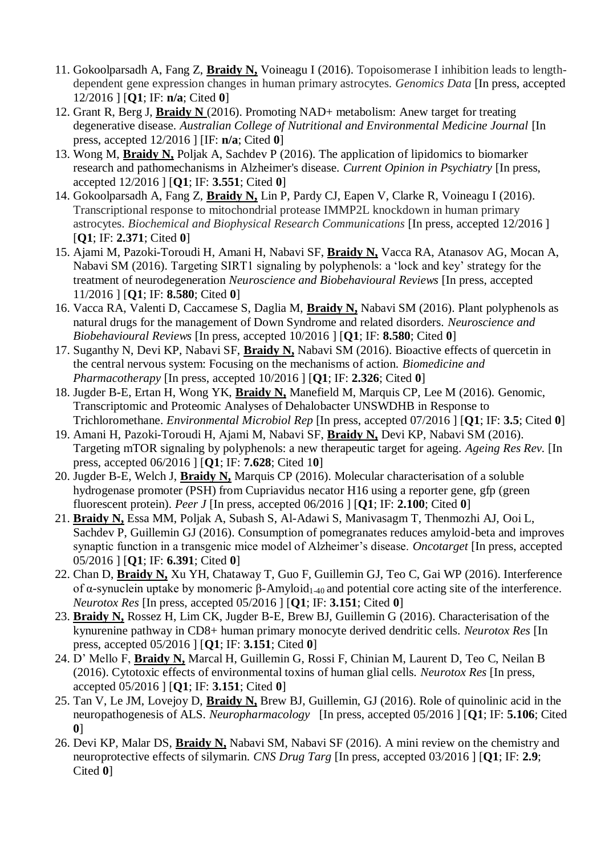- 11. Gokoolparsadh A, Fang Z, **Braidy N,** Voineagu I (2016). Topoisomerase I inhibition leads to lengthdependent gene expression changes in human primary astrocytes. *Genomics Data* [In press, accepted 12/2016 ] [**Q1**; IF: **n/a**; Cited **0**]
- 12. Grant R, Berg J, **Braidy N** (2016). Promoting NAD+ metabolism: Anew target for treating degenerative disease. *Australian College of Nutritional and Environmental Medicine Journal* [In press, accepted 12/2016 ] [IF: **n/a**; Cited **0**]
- 13. Wong M, **Braidy N,** Poljak A, Sachdev P (2016). The application of lipidomics to biomarker research and pathomechanisms in Alzheimer's disease. *Current Opinion in Psychiatry* [In press, accepted 12/2016 ] [**Q1**; IF: **3.551**; Cited **0**]
- 14. Gokoolparsadh A, Fang Z, **Braidy N,** Lin P, Pardy CJ, Eapen V, Clarke R, Voineagu I (2016). Transcriptional response to mitochondrial protease IMMP2L knockdown in human primary astrocytes. *Biochemical and Biophysical Research Communications* [In press, accepted 12/2016 ] [**Q1**; IF: **2.371**; Cited **0**]
- 15. Ajami M, Pazoki-Toroudi H, Amani H, Nabavi SF, **Braidy N,** Vacca RA, Atanasov AG, Mocan A, Nabavi SM (2016). Targeting SIRT1 signaling by polyphenols: a 'lock and key' strategy for the treatment of neurodegeneration *Neuroscience and Biobehavioural Reviews* [In press, accepted 11/2016 ] [**Q1**; IF: **8.580**; Cited **0**]
- 16. Vacca RA, Valenti D, Caccamese S, Daglia M, **Braidy N,** Nabavi SM (2016). Plant polyphenols as natural drugs for the management of Down Syndrome and related disorders. *Neuroscience and Biobehavioural Reviews* [In press, accepted 10/2016 ] [**Q1**; IF: **8.580**; Cited **0**]
- 17. Suganthy N, Devi KP, Nabavi SF, **Braidy N,** Nabavi SM (2016). Bioactive effects of quercetin in the central nervous system: Focusing on the mechanisms of action. *Biomedicine and Pharmacotherapy* [In press, accepted 10/2016 ] [**Q1**; IF: **2.326**; Cited **0**]
- 18. Jugder B-E, Ertan H, Wong YK, **Braidy N,** Manefield M, Marquis CP, Lee M (2016). Genomic, Transcriptomic and Proteomic Analyses of Dehalobacter UNSWDHB in Response to Trichloromethane. *Environmental Microbiol Rep* [In press, accepted 07/2016 ] [**Q1**; IF: **3.5**; Cited **0**]
- 19. Amani H, Pazoki-Toroudi H, Ajami M, Nabavi SF, **Braidy N,** Devi KP, Nabavi SM (2016). Targeting mTOR signaling by polyphenols: a new therapeutic target for ageing. *Ageing Res Rev.* [In press, accepted 06/2016 ] [**Q1**; IF: **7.628**; Cited 1**0**]
- 20. Jugder B-E, Welch J, **Braidy N,** Marquis CP (2016). Molecular characterisation of a soluble hydrogenase promoter (PSH) from Cupriavidus necator H16 using a reporter gene, gfp (green fluorescent protein). *Peer J* [In press, accepted 06/2016 ] [**Q1**; IF: **2.100**; Cited **0**]
- 21. **Braidy N,** Essa MM, Poljak A, Subash S, Al-Adawi S, Manivasagm T, Thenmozhi AJ, Ooi L, Sachdev P, Guillemin GJ (2016). Consumption of pomegranates reduces amyloid-beta and improves synaptic function in a transgenic mice model of Alzheimer's disease. *Oncotarget* [In press, accepted 05/2016 ] [**Q1**; IF: **6.391**; Cited **0**]
- 22. Chan D, **Braidy N,** Xu YH, Chataway T, Guo F, Guillemin GJ, Teo C, Gai WP (2016). Interference of α-synuclein uptake by monomeric β-Amyloid<sub>1-40</sub> and potential core acting site of the interference. *Neurotox Res* [In press, accepted 05/2016 ] [**Q1**; IF: **3.151**; Cited **0**]
- 23. **Braidy N,** Rossez H, Lim CK, Jugder B-E, Brew BJ, Guillemin G (2016). Characterisation of the kynurenine pathway in CD8+ human primary monocyte derived dendritic cells. *Neurotox Res* [In press, accepted 05/2016 ] [**Q1**; IF: **3.151**; Cited **0**]
- 24. D' Mello F, **Braidy N,** Marcal H, Guillemin G, Rossi F, Chinian M, Laurent D, Teo C, Neilan B (2016). Cytotoxic effects of environmental toxins of human glial cells. *Neurotox Res* [In press, accepted 05/2016 ] [**Q1**; IF: **3.151**; Cited **0**]
- 25. Tan V, Le JM, Lovejoy D, **Braidy N,** Brew BJ, Guillemin, GJ (2016). Role of quinolinic acid in the neuropathogenesis of ALS. *Neuropharmacology* [In press, accepted 05/2016 ] [**Q1**; IF: **5.106**; Cited **0**]
- 26. Devi KP, Malar DS, **Braidy N,** Nabavi SM, Nabavi SF (2016). A mini review on the chemistry and neuroprotective effects of silymarin. *CNS Drug Targ* [In press, accepted 03/2016 ] [**Q1**; IF: **2.9**; Cited **0**]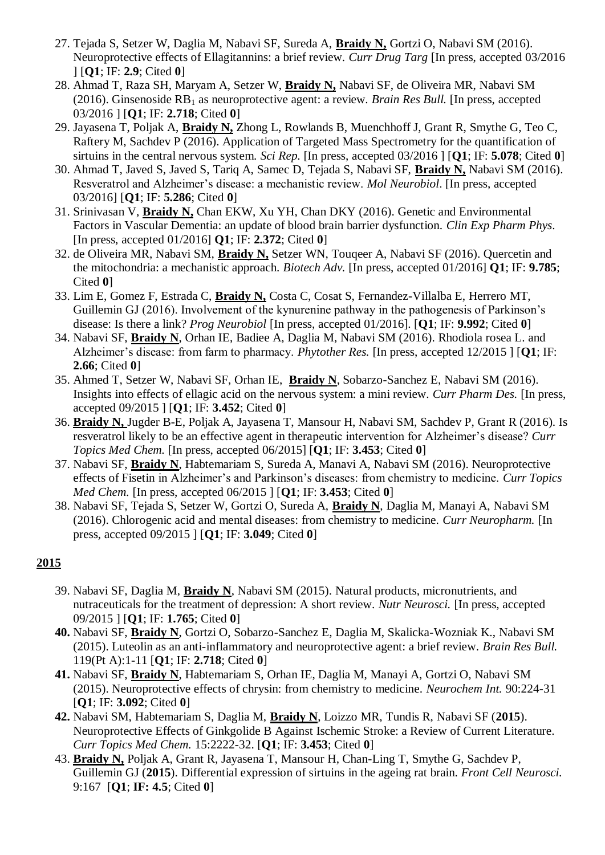- 27. Tejada S, Setzer W, Daglia M, Nabavi SF, Sureda A, **Braidy N,** Gortzi O, Nabavi SM (2016). Neuroprotective effects of Ellagitannins: a brief review. *Curr Drug Targ* [In press, accepted 03/2016 ] [**Q1**; IF: **2.9**; Cited **0**]
- 28. Ahmad T, Raza SH, Maryam A, Setzer W, **Braidy N,** Nabavi SF, de Oliveira MR, Nabavi SM (2016). Ginsenoside RB<sup>1</sup> as neuroprotective agent: a review. *Brain Res Bull.* [In press, accepted 03/2016 ] [**Q1**; IF: **2.718**; Cited **0**]
- 29. Jayasena T, Poljak A, **Braidy N,** Zhong L, Rowlands B, Muenchhoff J, Grant R, Smythe G, Teo C, Raftery M, Sachdev P (2016). Application of Targeted Mass Spectrometry for the quantification of sirtuins in the central nervous system. *Sci Rep.* [In press, accepted 03/2016 ] [**Q1**; IF: **5.078**; Cited **0**]
- 30. Ahmad T, Javed S, Javed S, Tariq A, Samec D, Tejada S, Nabavi SF, **Braidy N,** Nabavi SM (2016). Resveratrol and Alzheimer's disease: a mechanistic review. *Mol Neurobiol*. [In press, accepted 03/2016] [**Q1**; IF: **5.286**; Cited **0**]
- 31. Srinivasan V, **Braidy N,** Chan EKW, Xu YH, Chan DKY (2016). Genetic and Environmental Factors in Vascular Dementia: an update of blood brain barrier dysfunction. *Clin Exp Pharm Phys*. [In press, accepted 01/2016] **Q1**; IF: **2.372**; Cited **0**]
- 32. de Oliveira MR, Nabavi SM, **Braidy N,** Setzer WN, Touqeer A, Nabavi SF (2016). Quercetin and the mitochondria: a mechanistic approach. *Biotech Adv.* [In press, accepted 01/2016] **Q1**; IF: **9.785**; Cited **0**]
- 33. Lim E, Gomez F, Estrada C, **Braidy N,** Costa C, Cosat S, Fernandez-Villalba E, Herrero MT, Guillemin GJ (2016). Involvement of the kynurenine pathway in the pathogenesis of Parkinson's disease: Is there a link? *Prog Neurobiol* [In press, accepted 01/2016]. [**Q1**; IF: **9.992**; Cited **0**]
- 34. Nabavi SF, **Braidy N**, Orhan IE, Badiee A, Daglia M, Nabavi SM (2016). Rhodiola rosea L. and Alzheimer's disease: from farm to pharmacy. *Phytother Res.* [In press, accepted 12/2015 ] [**Q1**; IF: **2.66**; Cited **0**]
- 35. Ahmed T, Setzer W, Nabavi SF, Orhan IE, **Braidy N**, Sobarzo-Sanchez E, Nabavi SM (2016). Insights into effects of ellagic acid on the nervous system: a mini review. *Curr Pharm Des.* [In press, accepted 09/2015 ] [**Q1**; IF: **3.452**; Cited **0**]
- 36. **Braidy N,** Jugder B-E, Poljak A, Jayasena T, Mansour H, Nabavi SM, Sachdev P, Grant R (2016). Is resveratrol likely to be an effective agent in therapeutic intervention for Alzheimer's disease? *Curr Topics Med Chem.* [In press, accepted 06/2015] [**Q1**; IF: **3.453**; Cited **0**]
- 37. Nabavi SF, **Braidy N**, Habtemariam S, Sureda A, Manavi A, Nabavi SM (2016). Neuroprotective effects of Fisetin in Alzheimer's and Parkinson's diseases: from chemistry to medicine. *Curr Topics Med Chem.* [In press, accepted 06/2015 ] [**Q1**; IF: **3.453**; Cited **0**]
- 38. Nabavi SF, Tejada S, Setzer W, Gortzi O, Sureda A, **Braidy N**, Daglia M, Manayi A, Nabavi SM (2016). Chlorogenic acid and mental diseases: from chemistry to medicine. *Curr Neuropharm.* [In press, accepted 09/2015 ] [**Q1**; IF: **3.049**; Cited **0**]

- 39. Nabavi SF, Daglia M, **Braidy N**, Nabavi SM (2015). Natural products, micronutrients, and nutraceuticals for the treatment of depression: A short review. *Nutr Neurosci.* [In press, accepted 09/2015 ] [**Q1**; IF: **1.765**; Cited **0**]
- **40.** Nabavi SF, **Braidy N**, Gortzi O, Sobarzo-Sanchez E, Daglia M, Skalicka-Wozniak K., Nabavi SM (2015). Luteolin as an anti-inflammatory and neuroprotective agent: a brief review. *Brain Res Bull.* 119(Pt A):1-11 [**Q1**; IF: **2.718**; Cited **0**]
- **41.** Nabavi SF, **Braidy N**, Habtemariam S, Orhan IE, Daglia M, Manayi A, Gortzi O, Nabavi SM (2015). Neuroprotective effects of chrysin: from chemistry to medicine. *Neurochem Int.* 90:224-31 [**Q1**; IF: **3.092**; Cited **0**]
- **42.** Nabavi SM, Habtemariam S, Daglia M, **Braidy N**, Loizzo MR, Tundis R, Nabavi SF (**2015**). Neuroprotective Effects of Ginkgolide B Against Ischemic Stroke: a Review of Current Literature. *Curr Topics Med Chem.* 15:2222-32. [**Q1**; IF: **3.453**; Cited **0**]
- 43. **Braidy N,** Poljak A, Grant R, Jayasena T, Mansour H, Chan-Ling T, Smythe G, Sachdev P, Guillemin GJ (**2015**). Differential expression of sirtuins in the ageing rat brain. *Front Cell Neurosci.* 9:167 [**Q1**; **IF: 4.5**; Cited **0**]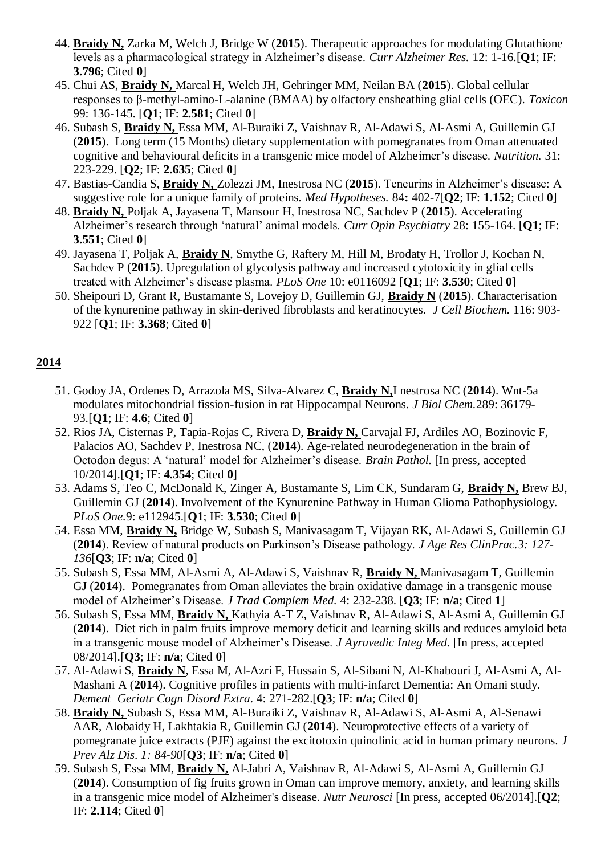- 44. **Braidy N,** Zarka M, Welch J, Bridge W (**2015**). Therapeutic approaches for modulating Glutathione levels as a pharmacological strategy in Alzheimer's disease. *Curr Alzheimer Res.* 12: 1-16.[**Q1**; IF: **3.796**; Cited **0**]
- 45. Chui AS, **Braidy N,** Marcal H, Welch JH, Gehringer MM, Neilan BA (**2015**). Global cellular responses to β-methyl-amino-L-alanine (BMAA) by olfactory ensheathing glial cells (OEC). *Toxicon*  99: 136-145. [**Q1**; IF: **2.581**; Cited **0**]
- 46. Subash S, **Braidy N,** Essa MM, Al-Buraiki Z, Vaishnav R, Al-Adawi S, Al-Asmi A, Guillemin GJ (**2015**). Long term (15 Months) dietary supplementation with pomegranates from Oman attenuated cognitive and behavioural deficits in a transgenic mice model of Alzheimer's disease. *Nutrition.* 31: 223-229. [**Q2**; IF: **2.635**; Cited **0**]
- 47. Bastias-Candia S, **Braidy N,** Zolezzi JM, Inestrosa NC (**2015**). Teneurins in Alzheimer's disease: A suggestive role for a unique family of proteins. *Med Hypotheses.* 84**:** 402-7[**Q2**; IF: **1.152**; Cited **0**]
- 48. **Braidy N,** Poljak A, Jayasena T, Mansour H, Inestrosa NC, Sachdev P (**2015**). Accelerating Alzheimer's research through 'natural' animal models. *Curr Opin Psychiatry* 28: 155-164. [**Q1**; IF: **3.551**; Cited **0**]
- 49. Jayasena T, Poljak A, **Braidy N**, Smythe G, Raftery M, Hill M, Brodaty H, Trollor J, Kochan N, Sachdev P (**2015**). Upregulation of glycolysis pathway and increased cytotoxicity in glial cells treated with Alzheimer's disease plasma. *PLoS One* 10: e0116092 **[Q1**; IF: **3.530**; Cited **0**]
- 50. Sheipouri D, Grant R, Bustamante S, Lovejoy D, Guillemin GJ, **Braidy N** (**2015**). Characterisation of the kynurenine pathway in skin-derived fibroblasts and keratinocytes. *J Cell Biochem.* 116: 903- 922 [**Q1**; IF: **3.368**; Cited **0**]

- 51. Godoy JA, Ordenes D, Arrazola MS, Silva-Alvarez C, **Braidy N,**I nestrosa NC (**2014**). Wnt-5a modulates mitochondrial fission-fusion in rat Hippocampal Neurons. *J Biol Chem.*289: 36179- 93.[**Q1**; IF: **4.6**; Cited **0**]
- 52. Rios JA, Cisternas P, Tapia-Rojas C, Rivera D, **Braidy N,** Carvajal FJ, Ardiles AO, Bozinovic F, Palacios AO, Sachdev P, Inestrosa NC, (**2014**). Age-related neurodegeneration in the brain of Octodon degus: A 'natural' model for Alzheimer's disease. *Brain Pathol.* [In press, accepted 10/2014].[**Q1**; IF: **4.354**; Cited **0**]
- 53. Adams S, Teo C, McDonald K, Zinger A, Bustamante S, Lim CK, Sundaram G, **Braidy N,** Brew BJ, Guillemin GJ (**2014**). Involvement of the Kynurenine Pathway in Human Glioma Pathophysiology. *PLoS One.*9: e112945.[**Q1**; IF: **3.530**; Cited **0**]
- 54. Essa MM, **Braidy N,** Bridge W, Subash S, Manivasagam T, Vijayan RK, Al-Adawi S, Guillemin GJ (**2014**). Review of natural products on Parkinson's Disease pathology. *J Age Res ClinPrac.3: 127- 136*[**Q3**; IF: **n/a**; Cited **0**]
- 55. Subash S, Essa MM, Al-Asmi A, Al-Adawi S, Vaishnav R, **Braidy N,** Manivasagam T, Guillemin GJ (**2014**). Pomegranates from Oman alleviates the brain oxidative damage in a transgenic mouse model of Alzheimer's Disease. *J Trad Complem Med.* 4: 232-238. [**Q3**; IF: **n/a**; Cited **1**]
- 56. Subash S, Essa MM, **Braidy N,** Kathyia A-T Z, Vaishnav R, Al-Adawi S, Al-Asmi A, Guillemin GJ (**2014**). Diet rich in palm fruits improve memory deficit and learning skills and reduces amyloid beta in a transgenic mouse model of Alzheimer's Disease. *J Ayruvedic Integ Med.* [In press, accepted 08/2014].[**Q3**; IF: **n/a**; Cited **0**]
- 57. Al-Adawi S, **Braidy N**, Essa M, Al-Azri F, Hussain S, Al-Sibani N, Al-Khabouri J, Al-Asmi A, Al-Mashani A (**2014**). Cognitive profiles in patients with multi-infarct Dementia: An Omani study. *Dement Geriatr Cogn Disord Extra*. 4: 271-282.[**Q3**; IF: **n/a**; Cited **0**]
- 58. **Braidy N,** Subash S, Essa MM, Al-Buraiki Z, Vaishnav R, Al-Adawi S, Al-Asmi A, Al-Senawi AAR, Alobaidy H, Lakhtakia R, Guillemin GJ (**2014**). Neuroprotective effects of a variety of pomegranate juice extracts (PJE) against the excitotoxin quinolinic acid in human primary neurons. *J Prev Alz Dis*. *1: 84-90*[**Q3**; IF: **n/a**; Cited **0**]
- 59. Subash S, Essa MM, **Braidy N,** Al-Jabri A, Vaishnav R, Al-Adawi S, Al-Asmi A, Guillemin GJ (**2014**). Consumption of fig fruits grown in Oman can improve memory, anxiety, and learning skills in a transgenic mice model of Alzheimer's disease. *Nutr Neurosci* [In press, accepted 06/2014].[**Q2**; IF: **2.114**; Cited **0**]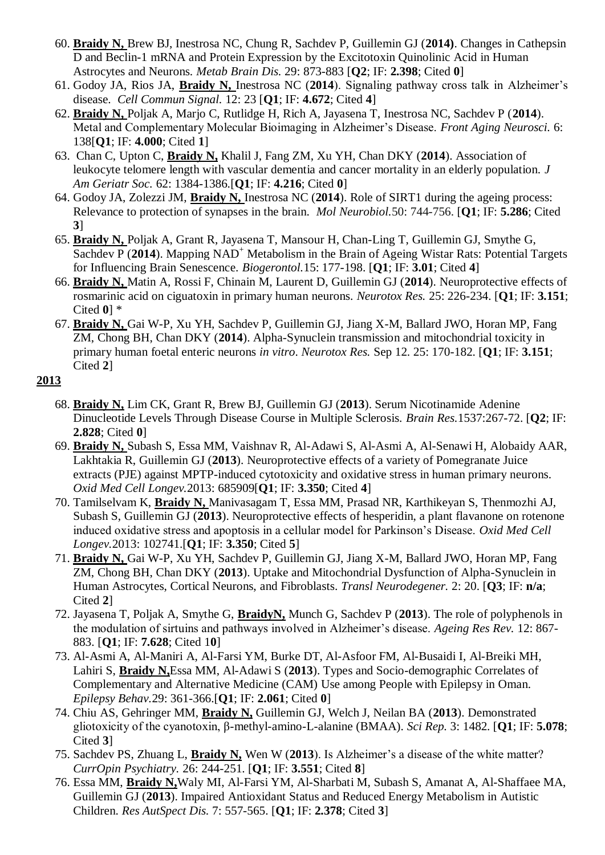- 60. **Braidy N,** Brew BJ, Inestrosa NC, Chung R, Sachdev P, Guillemin GJ (**2014)**. Changes in Cathepsin D and Beclin-1 mRNA and Protein Expression by the Excitotoxin Quinolinic Acid in Human Astrocytes and Neurons. *Metab Brain Dis.* 29: 873-883 [**Q2**; IF: **2.398**; Cited **0**]
- 61. Godoy JA, Rios JA, **Braidy N,** Inestrosa NC (**2014**). Signaling pathway cross talk in Alzheimer's disease. *Cell Commun Signal.* 12: 23 [**Q1**; IF: **4.672**; Cited **4**]
- 62. **Braidy N,** Poljak A, Marjo C, Rutlidge H, Rich A, Jayasena T, Inestrosa NC, Sachdev P (**2014**). Metal and Complementary Molecular Bioimaging in Alzheimer's Disease. *Front Aging Neurosci.* 6: 138[**Q1**; IF: **4.000**; Cited **1**]
- 63. Chan C, Upton C, **Braidy N,** Khalil J, Fang ZM, Xu YH, Chan DKY (**2014**). Association of leukocyte telomere length with vascular dementia and cancer mortality in an elderly population. *J Am Geriatr Soc.* 62: 1384-1386.[**Q1**; IF: **4.216**; Cited **0**]
- 64. Godoy JA, Zolezzi JM, **Braidy N,** Inestrosa NC (**2014**). Role of SIRT1 during the ageing process: Relevance to protection of synapses in the brain. *Mol Neurobiol.*50: 744-756. [**Q1**; IF: **5.286**; Cited **3**]
- 65. **Braidy N,** Poljak A, Grant R, Jayasena T, Mansour H, Chan-Ling T, Guillemin GJ, Smythe G, Sachdev P (2014). Mapping NAD<sup>+</sup> Metabolism in the Brain of Ageing Wistar Rats: Potential Targets for Influencing Brain Senescence. *Biogerontol.*15: 177-198. [**Q1**; IF: **3.01**; Cited **4**]
- 66. **Braidy N,** Matin A, Rossi F, Chinain M, Laurent D, Guillemin GJ (**2014**). Neuroprotective effects of rosmarinic acid on ciguatoxin in primary human neurons. *Neurotox Res.* 25: 226-234. [**Q1**; IF: **3.151**; Cited **0**] \*
- 67. **Braidy N,** Gai W-P, Xu YH, Sachdev P, Guillemin GJ, Jiang X-M, Ballard JWO, Horan MP, Fang ZM, Chong BH, Chan DKY (**2014**). Alpha-Synuclein transmission and mitochondrial toxicity in primary human foetal enteric neurons *in vitro*. *Neurotox Res.* Sep 12. 25: 170-182. [**Q1**; IF: **3.151**; Cited **2**]

- 68. **Braidy N,** Lim CK, Grant R, Brew BJ, Guillemin GJ (**2013**). Serum Nicotinamide Adenine Dinucleotide Levels Through Disease Course in Multiple Sclerosis. *Brain Res.*1537:267-72. [**Q2**; IF: **2.828**; Cited **0**]
- 69. **Braidy N,** Subash S, Essa MM, Vaishnav R, Al-Adawi S, Al-Asmi A, Al-Senawi H, Alobaidy AAR, Lakhtakia R, Guillemin GJ (**2013**). Neuroprotective effects of a variety of Pomegranate Juice extracts (PJE) against MPTP-induced cytotoxicity and oxidative stress in human primary neurons. *Oxid Med Cell Longev.*2013: 685909[**Q1**; IF: **3.350**; Cited **4**]
- 70. Tamilselvam K, **Braidy N,** Manivasagam T, Essa MM, Prasad NR, Karthikeyan S, Thenmozhi AJ, Subash S, Guillemin GJ (**2013**). Neuroprotective effects of hesperidin, a plant flavanone on rotenone induced oxidative stress and apoptosis in a cellular model for Parkinson's Disease. *Oxid Med Cell Longev.*2013: 102741.[**Q1**; IF: **3.350**; Cited **5**]
- 71. **Braidy N,** Gai W-P, Xu YH, Sachdev P, Guillemin GJ, Jiang X-M, Ballard JWO, Horan MP, Fang ZM, Chong BH, Chan DKY (**2013**). Uptake and Mitochondrial Dysfunction of Alpha-Synuclein in Human Astrocytes, Cortical Neurons, and Fibroblasts. *Transl Neurodegener.* 2: 20. [**Q3**; IF: **n/a**; Cited **2**]
- 72. Jayasena T, Poljak A, Smythe G, **BraidyN,** Munch G, Sachdev P (**2013**). The role of polyphenols in the modulation of sirtuins and pathways involved in Alzheimer's disease. *Ageing Res Rev.* 12: 867- 883. [**Q1**; IF: **7.628**; Cited 1**0**]
- 73. Al-Asmi A, Al-Maniri A, Al-Farsi YM, Burke DT, Al-Asfoor FM, Al-Busaidi I, Al-Breiki MH, Lahiri S, **Braidy N,**Essa MM, Al-Adawi S (**2013**). Types and Socio-demographic Correlates of Complementary and Alternative Medicine (CAM) Use among People with Epilepsy in Oman. *Epilepsy Behav.*29: 361-366.[**Q1**; IF: **2.061**; Cited **0**]
- 74. Chiu AS, Gehringer MM, **Braidy N,** Guillemin GJ, Welch J, Neilan BA (**2013**). Demonstrated gliotoxicity of the cyanotoxin, β-methyl-amino-L-alanine (BMAA). *Sci Rep.* 3: 1482. [**Q1**; IF: **5.078**; Cited **3**]
- 75. Sachdev PS, Zhuang L, **Braidy N,** Wen W (**2013**). Is Alzheimer's a disease of the white matter? *CurrOpin Psychiatry.* 26: 244-251. [**Q1**; IF: **3.551**; Cited **8**]
- 76. Essa MM, **Braidy N,**Waly MI, Al-Farsi YM, Al-Sharbati M, Subash S, Amanat A, Al-Shaffaee MA, Guillemin GJ (**2013**). Impaired Antioxidant Status and Reduced Energy Metabolism in Autistic Children. *Res AutSpect Dis.* 7: 557-565. [**Q1**; IF: **2.378**; Cited **3**]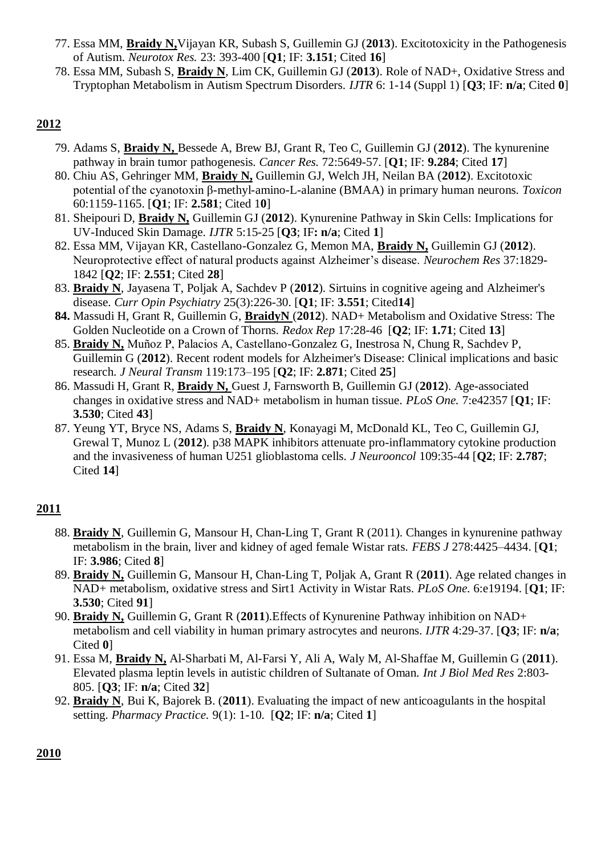- 77. Essa MM, **Braidy N,**Vijayan KR, Subash S, Guillemin GJ (**2013**). Excitotoxicity in the Pathogenesis of Autism. *Neurotox Res.* 23: 393-400 [**Q1**; IF: **3.151**; Cited **16**]
- 78. Essa MM, Subash S, **Braidy N**, Lim CK, Guillemin GJ (**2013**). Role of NAD+, Oxidative Stress and Tryptophan Metabolism in Autism Spectrum Disorders. *IJTR* 6: 1-14 (Suppl 1) [**Q3**; IF: **n/a**; Cited **0**]

- 79. Adams S, **Braidy N,** Bessede A, Brew BJ, Grant R, Teo C, Guillemin GJ (**2012**). The kynurenine pathway in brain tumor pathogenesis. *Cancer Res.* 72:5649-57. [**Q1**; IF: **9.284**; Cited **17**]
- 80. Chiu AS, Gehringer MM, **Braidy N,** Guillemin GJ, Welch JH, Neilan BA (**2012**). Excitotoxic potential of the cyanotoxin β-methyl-amino-L-alanine (BMAA) in primary human neurons. *Toxicon* 60:1159-1165. [**Q1**; IF: **2.581**; Cited 1**0**]
- 81. Sheipouri D, **Braidy N,** Guillemin GJ (**2012**). Kynurenine Pathway in Skin Cells: Implications for UV-Induced Skin Damage. *IJTR* 5:15-25 [**Q3**; IF**: n/a**; Cited **1**]
- 82. Essa MM, Vijayan KR, Castellano-Gonzalez G, Memon MA, **Braidy N,** Guillemin GJ (**2012**). Neuroprotective effect of natural products against Alzheimer's disease. *Neurochem Res* 37:1829- 1842 [**Q2**; IF: **2.551**; Cited **28**]
- 83. **Braidy N**, Jayasena T, Poljak A, Sachdev P (**2012**). Sirtuins in cognitive ageing and Alzheimer's disease. *Curr Opin Psychiatry* 25(3):226-30. [**Q1**; IF: **3.551**; Cited**14**]
- **84.** Massudi H, Grant R, Guillemin G, **BraidyN** (**2012**). NAD+ Metabolism and Oxidative Stress: The Golden Nucleotide on a Crown of Thorns. *Redox Rep* 17:28-46 [**Q2**; IF: **1.71**; Cited **13**]
- 85. **Braidy N,** Muñoz P, Palacios A, Castellano-Gonzalez G, Inestrosa N, Chung R, Sachdev P, Guillemin G (**2012**). Recent rodent models for Alzheimer's Disease: Clinical implications and basic research. *J Neural Transm* 119:173–195 [**Q2**; IF: **2.871**; Cited **25**]
- 86. Massudi H, Grant R, **Braidy N,** Guest J, Farnsworth B, Guillemin GJ (**2012**). Age-associated changes in oxidative stress and NAD+ metabolism in human tissue. *PLoS One.* 7:e42357 [**Q1**; IF: **3.530**; Cited **43**]
- 87. Yeung YT, Bryce NS, Adams S, **Braidy N**, Konayagi M, McDonald KL, Teo C, Guillemin GJ, Grewal T, Munoz L (**2012**). p38 MAPK inhibitors attenuate pro-inflammatory cytokine production and the invasiveness of human U251 glioblastoma cells. *J Neurooncol* 109:35-44 [**Q2**; IF: **2.787**; Cited **14**]

# **2011**

- 88. **Braidy N**, Guillemin G, Mansour H, Chan-Ling T, Grant R (2011). Changes in kynurenine pathway metabolism in the brain, liver and kidney of aged female Wistar rats. *FEBS J* 278:4425–4434. [**Q1**; IF: **3.986**; Cited **8**]
- 89. **Braidy N,** Guillemin G, Mansour H, Chan-Ling T, Poljak A, Grant R (**2011**). Age related changes in NAD+ metabolism, oxidative stress and Sirt1 Activity in Wistar Rats. *PLoS One.* 6:e19194. [**Q1**; IF: **3.530**; Cited **91**]
- 90. **Braidy N,** Guillemin G, Grant R (**2011**).Effects of Kynurenine Pathway inhibition on NAD+ metabolism and cell viability in human primary astrocytes and neurons. *IJTR* 4:29-37. [**Q3**; IF: **n/a**; Cited **0**]
- 91. Essa M, **Braidy N,** Al-Sharbati M, Al-Farsi Y, Ali A, Waly M, Al-Shaffae M, Guillemin G (**2011**). Elevated plasma leptin levels in autistic children of Sultanate of Oman. *Int J Biol Med Res* 2:803- 805. [**Q3**; IF: **n/a**; Cited **32**]
- 92. **Braidy N**, Bui K, Bajorek B. (**2011**). Evaluating the impact of new anticoagulants in the hospital setting. *Pharmacy Practice.* 9(1): 1-10. [**Q2**; IF: **n/a**; Cited **1**]